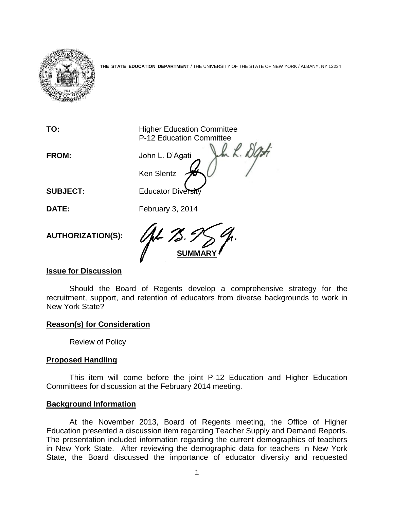

**THE STATE EDUCATION DEPARTMENT** / THE UNIVERSITY OF THE STATE OF NEW YORK / ALBANY, NY 12234

**TO: Higher Education Committee** P-12 Education Committee **FROM:** John L. D'Agati Ken Slentz **SUBJECT:** Educator Diversity **DATE:** February 3, 2014 **AUTHORIZATION(S):** 

## **Issue for Discussion**

Should the Board of Regents develop a comprehensive strategy for the recruitment, support, and retention of educators from diverse backgrounds to work in New York State?

**SUMMARY**

## **Reason(s) for Consideration**

Review of Policy

## **Proposed Handling**

This item will come before the joint P-12 Education and Higher Education Committees for discussion at the February 2014 meeting.

## **Background Information**

At the November 2013, Board of Regents meeting, the Office of Higher Education presented a discussion item regarding Teacher Supply and Demand Reports. The presentation included information regarding the current demographics of teachers in New York State. After reviewing the demographic data for teachers in New York State, the Board discussed the importance of educator diversity and requested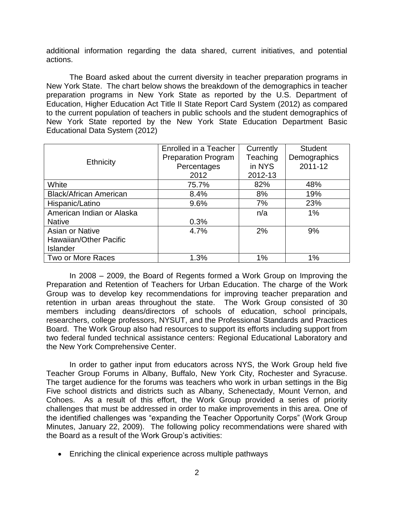additional information regarding the data shared, current initiatives, and potential actions.

The Board asked about the current diversity in teacher preparation programs in New York State. The chart below shows the breakdown of the demographics in teacher preparation programs in New York State as reported by the U.S. Department of Education, Higher Education Act Title II State Report Card System (2012) as compared to the current population of teachers in public schools and the student demographics of New York State reported by the New York State Education Department Basic Educational Data System (2012)

|                               | Enrolled in a Teacher      | Currently | <b>Student</b> |
|-------------------------------|----------------------------|-----------|----------------|
|                               | <b>Preparation Program</b> | Teaching  | Demographics   |
| <b>Ethnicity</b>              | Percentages                | in NYS    | 2011-12        |
|                               | 2012                       | 2012-13   |                |
| White                         | 75.7%                      | 82%       | 48%            |
| <b>Black/African American</b> | 8.4%                       | 8%        | 19%            |
| Hispanic/Latino               | 9.6%                       | 7%        | 23%            |
| American Indian or Alaska     |                            | n/a       | 1%             |
| <b>Native</b>                 | 0.3%                       |           |                |
| Asian or Native               | 4.7%                       | 2%        | 9%             |
| Hawaiian/Other Pacific        |                            |           |                |
| <b>Islander</b>               |                            |           |                |
| Two or More Races             | 1.3%                       | 1%        | 1%             |

In 2008 – 2009, the Board of Regents formed a Work Group on Improving the Preparation and Retention of Teachers for Urban Education. The charge of the Work Group was to develop key recommendations for improving teacher preparation and retention in urban areas throughout the state. The Work Group consisted of 30 members including deans/directors of schools of education, school principals, researchers, college professors, NYSUT, and the Professional Standards and Practices Board. The Work Group also had resources to support its efforts including support from two federal funded technical assistance centers: Regional Educational Laboratory and the New York Comprehensive Center.

In order to gather input from educators across NYS, the Work Group held five Teacher Group Forums in Albany, Buffalo, New York City, Rochester and Syracuse. The target audience for the forums was teachers who work in urban settings in the Big Five school districts and districts such as Albany, Schenectady, Mount Vernon, and Cohoes. As a result of this effort, the Work Group provided a series of priority challenges that must be addressed in order to make improvements in this area. One of the identified challenges was "expanding the Teacher Opportunity Corps" (Work Group Minutes, January 22, 2009). The following policy recommendations were shared with the Board as a result of the Work Group's activities:

• Enriching the clinical experience across multiple pathways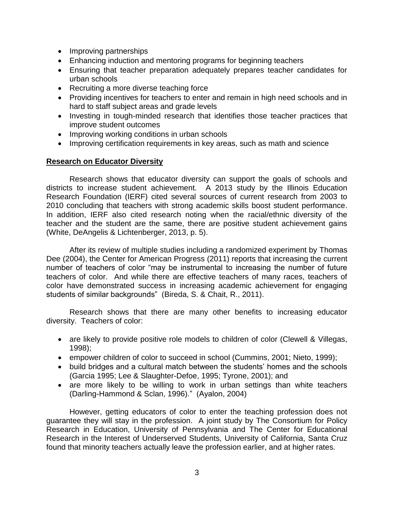- Improving partnerships
- Enhancing induction and mentoring programs for beginning teachers
- Ensuring that teacher preparation adequately prepares teacher candidates for urban schools
- Recruiting a more diverse teaching force
- Providing incentives for teachers to enter and remain in high need schools and in hard to staff subject areas and grade levels
- Investing in tough-minded research that identifies those teacher practices that improve student outcomes
- Improving working conditions in urban schools
- Improving certification requirements in key areas, such as math and science

# **Research on Educator Diversity**

Research shows that educator diversity can support the goals of schools and districts to increase student achievement. A 2013 study by the Illinois Education Research Foundation (IERF) cited several sources of current research from 2003 to 2010 concluding that teachers with strong academic skills boost student performance. In addition, IERF also cited research noting when the racial/ethnic diversity of the teacher and the student are the same, there are positive student achievement gains (White, DeAngelis & Lichtenberger, 2013, p. 5).

After its review of multiple studies including a randomized experiment by Thomas Dee (2004), the Center for American Progress (2011) reports that increasing the current number of teachers of color "may be instrumental to increasing the number of future teachers of color. And while there are effective teachers of many races, teachers of color have demonstrated success in increasing academic achievement for engaging students of similar backgrounds" (Bireda, S. & Chait, R., 2011).

Research shows that there are many other benefits to increasing educator diversity. Teachers of color:

- are likely to provide positive role models to children of color (Clewell & Villegas, 1998);
- empower children of color to succeed in school (Cummins, 2001; Nieto, 1999);
- build bridges and a cultural match between the students' homes and the schools (Garcia 1995; Lee & Slaughter-Defoe, 1995; Tyrone, 2001); and
- are more likely to be willing to work in urban settings than white teachers (Darling-Hammond & Sclan, 1996)." (Ayalon, 2004)

However, getting educators of color to enter the teaching profession does not guarantee they will stay in the profession. A joint study by The Consortium for Policy Research in Education, University of Pennsylvania and The Center for Educational Research in the Interest of Underserved Students, University of California, Santa Cruz found that minority teachers actually leave the profession earlier, and at higher rates.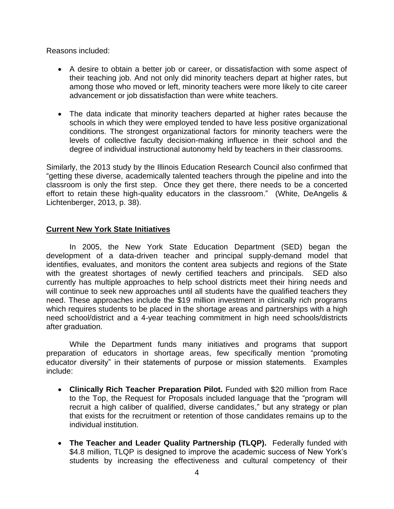Reasons included:

- A desire to obtain a better job or career, or dissatisfaction with some aspect of their teaching job. And not only did minority teachers depart at higher rates, but among those who moved or left, minority teachers were more likely to cite career advancement or job dissatisfaction than were white teachers.
- The data indicate that minority teachers departed at higher rates because the schools in which they were employed tended to have less positive organizational conditions. The strongest organizational factors for minority teachers were the levels of collective faculty decision-making influence in their school and the degree of individual instructional autonomy held by teachers in their classrooms.

Similarly, the 2013 study by the Illinois Education Research Council also confirmed that "getting these diverse, academically talented teachers through the pipeline and into the classroom is only the first step. Once they get there, there needs to be a concerted effort to retain these high-quality educators in the classroom." (White, DeAngelis & Lichtenberger, 2013, p. 38).

# **Current New York State Initiatives**

In 2005, the New York State Education Department (SED) began the development of a data-driven teacher and principal supply-demand model that identifies, evaluates, and monitors the content area subjects and regions of the State with the greatest shortages of newly certified teachers and principals. SED also currently has multiple approaches to help school districts meet their hiring needs and will continue to seek new approaches until all students have the qualified teachers they need. These approaches include the \$19 million investment in clinically rich programs which requires students to be placed in the shortage areas and partnerships with a high need school/district and a 4-year teaching commitment in high need schools/districts after graduation.

While the Department funds many initiatives and programs that support preparation of educators in shortage areas, few specifically mention "promoting educator diversity" in their statements of purpose or mission statements. Examples include:

- **Clinically Rich Teacher Preparation Pilot.** Funded with \$20 million from Race to the Top, the Request for Proposals included language that the "program will recruit a high caliber of qualified, diverse candidates," but any strategy or plan that exists for the recruitment or retention of those candidates remains up to the individual institution.
- **The Teacher and Leader Quality Partnership (TLQP).** Federally funded with \$4.8 million, TLQP is designed to improve the academic success of New York's students by increasing the effectiveness and cultural competency of their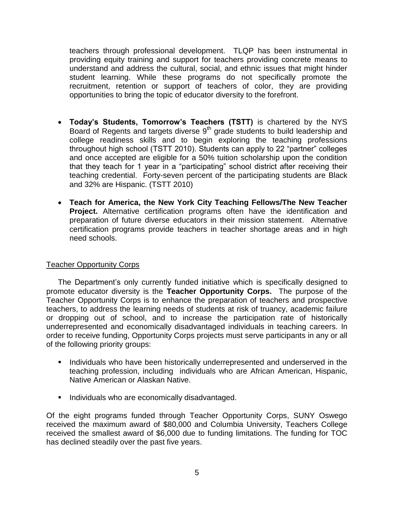teachers through professional development. TLQP has been instrumental in providing equity training and support for teachers providing concrete means to understand and address the cultural, social, and ethnic issues that might hinder student learning. While these programs do not specifically promote the recruitment, retention or support of teachers of color, they are providing opportunities to bring the topic of educator diversity to the forefront.

- **Today's Students, Tomorrow's Teachers (TSTT)** is chartered by the NYS Board of Regents and targets diverse  $9<sup>th</sup>$  grade students to build leadership and college readiness skills and to begin exploring the teaching professions throughout high school (TSTT 2010). Students can apply to 22 "partner" colleges and once accepted are eligible for a 50% tuition scholarship upon the condition that they teach for 1 year in a "participating" school district after receiving their teaching credential. Forty-seven percent of the participating students are Black and 32% are Hispanic. (TSTT 2010)
- **Teach for America, the New York City Teaching Fellows/The New Teacher Project.** Alternative certification programs often have the identification and preparation of future diverse educators in their mission statement. Alternative certification programs provide teachers in teacher shortage areas and in high need schools.

# Teacher Opportunity Corps

The Department's only currently funded initiative which is specifically designed to promote educator diversity is the **Teacher Opportunity Corps.** The purpose of the Teacher Opportunity Corps is to enhance the preparation of teachers and prospective teachers, to address the learning needs of students at risk of truancy, academic failure or dropping out of school, and to increase the participation rate of historically underrepresented and economically disadvantaged individuals in teaching careers. In order to receive funding, Opportunity Corps projects must serve participants in any or all of the following priority groups:

- **Individuals who have been historically underrepresented and underserved in the** teaching profession, including individuals who are African American, Hispanic, Native American or Alaskan Native.
- Individuals who are economically disadvantaged.

Of the eight programs funded through Teacher Opportunity Corps, SUNY Oswego received the maximum award of \$80,000 and Columbia University, Teachers College received the smallest award of \$6,000 due to funding limitations. The funding for TOC has declined steadily over the past five years.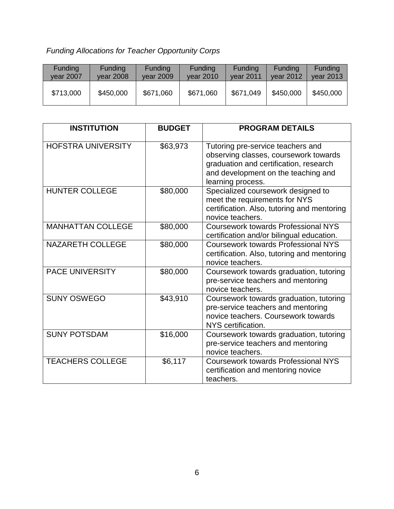# *Funding Allocations for Teacher Opportunity Corps*

| <b>Funding</b> | <b>Funding</b> | <b>Funding</b> | <b>Funding</b> | <b>Funding</b> | <b>Funding</b> | <b>Funding</b> |
|----------------|----------------|----------------|----------------|----------------|----------------|----------------|
| vear 2007      | vear 2008      | vear 2009      | vear 2010      | vear 2011      | vear 2012      | vear 2013      |
| \$713,000      | \$450,000      | \$671,060      | \$671,060      | \$671,049      | \$450,000      | \$450,000      |

| <b>INSTITUTION</b>        | <b>BUDGET</b> | <b>PROGRAM DETAILS</b>                                                                                                                                                           |
|---------------------------|---------------|----------------------------------------------------------------------------------------------------------------------------------------------------------------------------------|
| <b>HOFSTRA UNIVERSITY</b> | \$63,973      | Tutoring pre-service teachers and<br>observing classes, coursework towards<br>graduation and certification, research<br>and development on the teaching and<br>learning process. |
| <b>HUNTER COLLEGE</b>     | \$80,000      | Specialized coursework designed to<br>meet the requirements for NYS<br>certification. Also, tutoring and mentoring<br>novice teachers.                                           |
| <b>MANHATTAN COLLEGE</b>  | \$80,000      | <b>Coursework towards Professional NYS</b><br>certification and/or bilingual education.                                                                                          |
| <b>NAZARETH COLLEGE</b>   | \$80,000      | <b>Coursework towards Professional NYS</b><br>certification. Also, tutoring and mentoring<br>novice teachers.                                                                    |
| <b>PACE UNIVERSITY</b>    | \$80,000      | Coursework towards graduation, tutoring<br>pre-service teachers and mentoring<br>novice teachers.                                                                                |
| <b>SUNY OSWEGO</b>        | \$43,910      | Coursework towards graduation, tutoring<br>pre-service teachers and mentoring<br>novice teachers. Coursework towards<br>NYS certification.                                       |
| <b>SUNY POTSDAM</b>       | \$16,000      | Coursework towards graduation, tutoring<br>pre-service teachers and mentoring<br>novice teachers.                                                                                |
| <b>TEACHERS COLLEGE</b>   | \$6,117       | <b>Coursework towards Professional NYS</b><br>certification and mentoring novice<br>teachers.                                                                                    |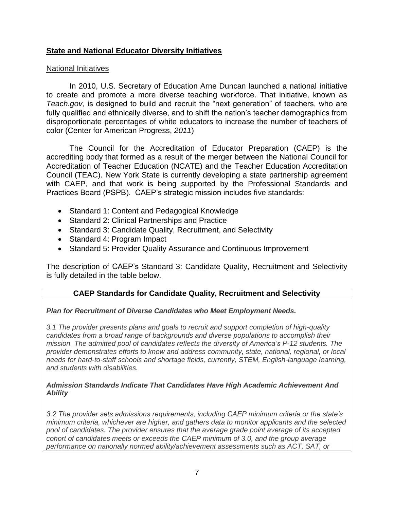# **State and National Educator Diversity Initiatives**

## National Initiatives

In 2010, U.S. Secretary of Education Arne Duncan launched a national initiative to create and promote a more diverse teaching workforce. That initiative, known as *Teach.gov,* is designed to build and recruit the "next generation" of teachers, who are fully qualified and ethnically diverse, and to shift the nation's teacher demographics from disproportionate percentages of white educators to increase the number of teachers of color (Center for American Progress, *2011*)

The Council for the Accreditation of Educator Preparation (CAEP) is the accrediting body that formed as a result of the merger between the National Council for Accreditation of Teacher Education (NCATE) and the Teacher Education Accreditation Council (TEAC). New York State is currently developing a state partnership agreement with CAEP, and that work is being supported by the Professional Standards and Practices Board (PSPB). CAEP's strategic mission includes five standards:

- Standard 1: Content and Pedagogical Knowledge
- Standard 2: Clinical Partnerships and Practice
- Standard 3: Candidate Quality, Recruitment, and Selectivity
- Standard 4: Program Impact
- Standard 5: Provider Quality Assurance and Continuous Improvement

The description of CAEP's Standard 3: Candidate Quality, Recruitment and Selectivity is fully detailed in the table below.

# **CAEP Standards for Candidate Quality, Recruitment and Selectivity**

# *Plan for Recruitment of Diverse Candidates who Meet Employment Needs.*

*3.1 The provider presents plans and goals to recruit and support completion of high-quality candidates from a broad range of backgrounds and diverse populations to accomplish their mission. The admitted pool of candidates reflects the diversity of America's P-12 students. The provider demonstrates efforts to know and address community, state, national, regional, or local needs for hard-to-staff schools and shortage fields, currently, STEM, English-language learning, and students with disabilities.*

## *Admission Standards Indicate That Candidates Have High Academic Achievement And Ability*

*3.2 The provider sets admissions requirements, including CAEP minimum criteria or the state's minimum criteria, whichever are higher, and gathers data to monitor applicants and the selected pool of candidates. The provider ensures that the average grade point average of its accepted cohort of candidates meets or exceeds the CAEP minimum of 3.0, and the group average performance on nationally normed ability/achievement assessments such as ACT, SAT, or*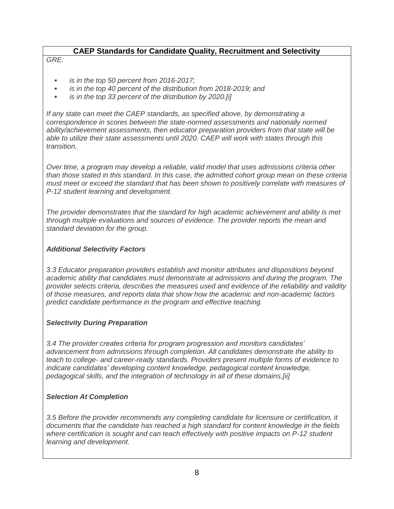# **CAEP Standards for Candidate Quality, Recruitment and Selectivity**

## *GRE:*

- *is in the top 50 percent from 2016-2017;*
- *is in the top 40 percent of the distribution from 2018-2019; and*
- *is in the top 33 percent of the distribution by 2020.[i]*

*If any state can meet the CAEP standards, as specified above, by demonstrating a correspondence in scores between the state-normed assessments and nationally normed ability/achievement assessments, then educator preparation providers from that state will be able to utilize their state assessments until 2020. CAEP will work with states through this transition.*

*Over time, a program may develop a reliable, valid model that uses admissions criteria other than those stated in this standard. In this case, the admitted cohort group mean on these criteria must meet or exceed the standard that has been shown to positively correlate with measures of P-12 student learning and development.*

*The provider demonstrates that the standard for high academic achievement and ability is met through multiple evaluations and sources of evidence. The provider reports the mean and standard deviation for the group.*

## *Additional Selectivity Factors*

*3.3 Educator preparation providers establish and monitor attributes and dispositions beyond academic ability that candidates must demonstrate at admissions and during the program. The provider selects criteria, describes the measures used and evidence of the reliability and validity of those measures, and reports data that show how the academic and non-academic factors predict candidate performance in the program and effective teaching.*

# *Selectivity During Preparation*

*3.4 The provider creates criteria for program progression and monitors candidates' advancement from admissions through completion. All candidates demonstrate the ability to teach to college- and career-ready standards. Providers present multiple forms of evidence to indicate candidates' developing content knowledge, pedagogical content knowledge, pedagogical skills, and the integration of technology in all of these domains.[ii]*

## *Selection At Completion*

*3.5 Before the provider recommends any completing candidate for licensure or certification, it documents that the candidate has reached a high standard for content knowledge in the fields where certification is sought and can teach effectively with positive impacts on P-12 student learning and development.*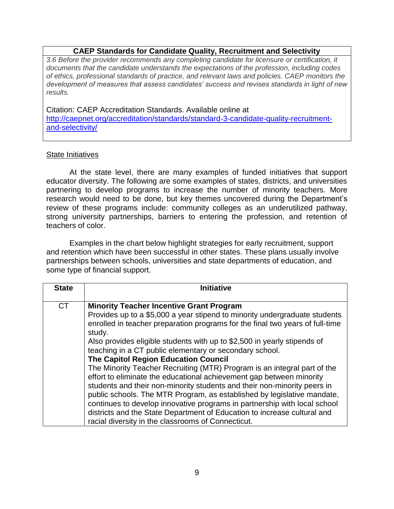# **CAEP Standards for Candidate Quality, Recruitment and Selectivity**

*3.6 Before the provider recommends any completing candidate for licensure or certification, it documents that the candidate understands the expectations of the profession, including codes of ethics, professional standards of practice, and relevant laws and policies. CAEP monitors the development of measures that assess candidates' success and revises standards in light of new results.*

Citation: CAEP Accreditation Standards. Available online at [http://caepnet.org/accreditation/standards/standard-3-candidate-quality-recruitment](http://caepnet.org/accreditation/standards/standard-3-candidate-quality-recruitment-and-selectivity/)[and-selectivity/](http://caepnet.org/accreditation/standards/standard-3-candidate-quality-recruitment-and-selectivity/)

## State Initiatives

At the state level, there are many examples of funded initiatives that support educator diversity. The following are some examples of states, districts, and universities partnering to develop programs to increase the number of minority teachers. More research would need to be done, but key themes uncovered during the Department's review of these programs include: community colleges as an underutilized pathway, strong university partnerships, barriers to entering the profession, and retention of teachers of color.

Examples in the chart below highlight strategies for early recruitment, support and retention which have been successful in other states. These plans usually involve partnerships between schools, universities and state departments of education, and some type of financial support.

| <b>State</b> | <b>Initiative</b>                                                                                                                                                                                                                                                                                                                                                                                                                                                                                                                                                                                                                                                                                                                                                                                                                                                                                                                        |
|--------------|------------------------------------------------------------------------------------------------------------------------------------------------------------------------------------------------------------------------------------------------------------------------------------------------------------------------------------------------------------------------------------------------------------------------------------------------------------------------------------------------------------------------------------------------------------------------------------------------------------------------------------------------------------------------------------------------------------------------------------------------------------------------------------------------------------------------------------------------------------------------------------------------------------------------------------------|
| <b>CT</b>    | <b>Minority Teacher Incentive Grant Program</b><br>Provides up to a \$5,000 a year stipend to minority undergraduate students<br>enrolled in teacher preparation programs for the final two years of full-time<br>study.<br>Also provides eligible students with up to \$2,500 in yearly stipends of<br>teaching in a CT public elementary or secondary school.<br><b>The Capitol Region Education Council</b><br>The Minority Teacher Recruiting (MTR) Program is an integral part of the<br>effort to eliminate the educational achievement gap between minority<br>students and their non-minority students and their non-minority peers in<br>public schools. The MTR Program, as established by legislative mandate,<br>continues to develop innovative programs in partnership with local school<br>districts and the State Department of Education to increase cultural and<br>racial diversity in the classrooms of Connecticut. |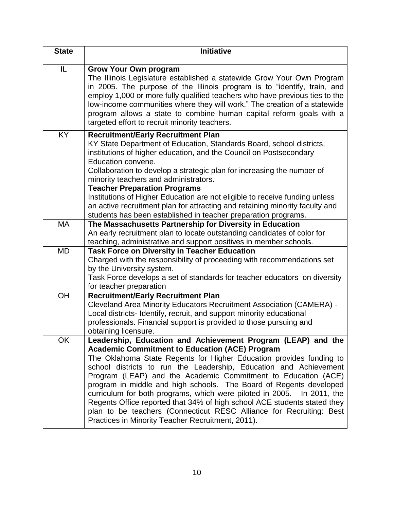| <b>State</b> | <b>Initiative</b>                                                                                                                                                                                                                                                                                                                                                                                                                                                                                                                                                                                                                                                                          |
|--------------|--------------------------------------------------------------------------------------------------------------------------------------------------------------------------------------------------------------------------------------------------------------------------------------------------------------------------------------------------------------------------------------------------------------------------------------------------------------------------------------------------------------------------------------------------------------------------------------------------------------------------------------------------------------------------------------------|
| IL           | <b>Grow Your Own program</b><br>The Illinois Legislature established a statewide Grow Your Own Program<br>in 2005. The purpose of the Illinois program is to "identify, train, and<br>employ 1,000 or more fully qualified teachers who have previous ties to the<br>low-income communities where they will work." The creation of a statewide<br>program allows a state to combine human capital reform goals with a<br>targeted effort to recruit minority teachers.                                                                                                                                                                                                                     |
| <b>KY</b>    | <b>Recruitment/Early Recruitment Plan</b><br>KY State Department of Education, Standards Board, school districts,<br>institutions of higher education, and the Council on Postsecondary<br>Education convene.<br>Collaboration to develop a strategic plan for increasing the number of<br>minority teachers and administrators.<br><b>Teacher Preparation Programs</b><br>Institutions of Higher Education are not eligible to receive funding unless<br>an active recruitment plan for attracting and retaining minority faculty and<br>students has been established in teacher preparation programs.                                                                                   |
| <b>MA</b>    | The Massachusetts Partnership for Diversity in Education<br>An early recruitment plan to locate outstanding candidates of color for<br>teaching, administrative and support positives in member schools.                                                                                                                                                                                                                                                                                                                                                                                                                                                                                   |
| <b>MD</b>    | <b>Task Force on Diversity in Teacher Education</b><br>Charged with the responsibility of proceeding with recommendations set<br>by the University system.<br>Task Force develops a set of standards for teacher educators on diversity<br>for teacher preparation                                                                                                                                                                                                                                                                                                                                                                                                                         |
| OH           | <b>Recruitment/Early Recruitment Plan</b><br>Cleveland Area Minority Educators Recruitment Association (CAMERA) -<br>Local districts- Identify, recruit, and support minority educational<br>professionals. Financial support is provided to those pursuing and<br>obtaining licensure.                                                                                                                                                                                                                                                                                                                                                                                                    |
| OK           | Leadership, Education and Achievement Program (LEAP) and the<br><b>Academic Commitment to Education (ACE) Program</b><br>The Oklahoma State Regents for Higher Education provides funding to<br>school districts to run the Leadership, Education and Achievement<br>Program (LEAP) and the Academic Commitment to Education (ACE)<br>program in middle and high schools. The Board of Regents developed<br>curriculum for both programs, which were piloted in 2005. In 2011, the<br>Regents Office reported that 34% of high school ACE students stated they<br>plan to be teachers (Connecticut RESC Alliance for Recruiting: Best<br>Practices in Minority Teacher Recruitment, 2011). |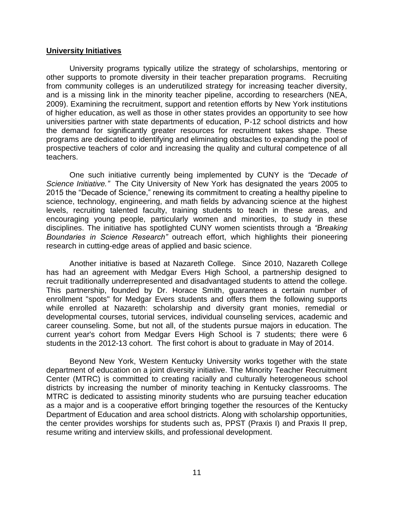## **University Initiatives**

University programs typically utilize the strategy of scholarships, mentoring or other supports to promote diversity in their teacher preparation programs. Recruiting from community colleges is an underutilized strategy for increasing teacher diversity, and is a missing link in the minority teacher pipeline, according to researchers (NEA, 2009). Examining the recruitment, support and retention efforts by New York institutions of higher education, as well as those in other states provides an opportunity to see how universities partner with state departments of education, P-12 school districts and how the demand for significantly greater resources for recruitment takes shape. These programs are dedicated to identifying and eliminating obstacles to expanding the pool of prospective teachers of color and increasing the quality and cultural competence of all teachers.

One such initiative currently being implemented by CUNY is the *"Decade of Science Initiative."* The City University of New York has designated the years 2005 to 2015 the "Decade of Science," renewing its commitment to creating a healthy pipeline to science, technology, engineering, and math fields by advancing science at the highest levels, recruiting talented faculty, training students to teach in these areas, and encouraging young people, particularly women and minorities, to study in these disciplines. The initiative has spotlighted CUNY women scientists through a *"Breaking Boundaries in Science Research"* outreach effort, which highlights their pioneering research in cutting-edge areas of applied and basic science.

Another initiative is based at Nazareth College. Since 2010, Nazareth College has had an agreement with Medgar Evers High School, a partnership designed to recruit traditionally underrepresented and disadvantaged students to attend the college. This partnership, founded by Dr. Horace Smith, guarantees a certain number of enrollment "spots" for Medgar Evers students and offers them the following supports while enrolled at Nazareth: scholarship and diversity grant monies, remedial or developmental courses, tutorial services, individual counseling services, academic and career counseling. Some, but not all, of the students pursue majors in education. The current year's cohort from Medgar Evers High School is 7 students; there were 6 students in the 2012-13 cohort. The first cohort is about to graduate in May of 2014.

Beyond New York, Western Kentucky University works together with the state department of education on a joint diversity initiative. The Minority Teacher Recruitment Center (MTRC) is committed to creating racially and culturally heterogeneous school districts by increasing the number of minority teaching in Kentucky classrooms. The MTRC is dedicated to assisting minority students who are pursuing teacher education as a major and is a cooperative effort bringing together the resources of the Kentucky Department of Education and area school districts. Along with scholarship opportunities, the center provides worships for students such as, PPST (Praxis I) and Praxis II prep, resume writing and interview skills, and professional development.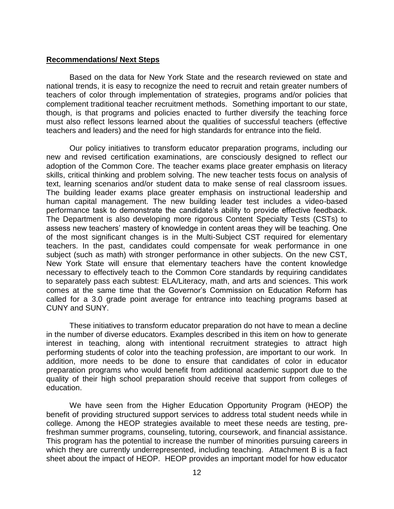## **Recommendations/ Next Steps**

Based on the data for New York State and the research reviewed on state and national trends, it is easy to recognize the need to recruit and retain greater numbers of teachers of color through implementation of strategies, programs and/or policies that complement traditional teacher recruitment methods. Something important to our state, though, is that programs and policies enacted to further diversify the teaching force must also reflect lessons learned about the qualities of successful teachers (effective teachers and leaders) and the need for high standards for entrance into the field.

Our policy initiatives to transform educator preparation programs, including our new and revised certification examinations, are consciously designed to reflect our adoption of the Common Core. The teacher exams place greater emphasis on literacy skills, critical thinking and problem solving. The new teacher tests focus on analysis of text, learning scenarios and/or student data to make sense of real classroom issues. The building leader exams place greater emphasis on instructional leadership and human capital management. The new building leader test includes a video-based performance task to demonstrate the candidate's ability to provide effective feedback. The Department is also developing more rigorous Content Specialty Tests (CSTs) to assess new teachers' mastery of knowledge in content areas they will be teaching. One of the most significant changes is in the Multi-Subject CST required for elementary teachers. In the past, candidates could compensate for weak performance in one subject (such as math) with stronger performance in other subjects. On the new CST, New York State will ensure that elementary teachers have the content knowledge necessary to effectively teach to the Common Core standards by requiring candidates to separately pass each subtest: ELA/Literacy, math, and arts and sciences. This work comes at the same time that the Governor's Commission on Education Reform has called for a 3.0 grade point average for entrance into teaching programs based at CUNY and SUNY.

These initiatives to transform educator preparation do not have to mean a decline in the number of diverse educators. Examples described in this item on how to generate interest in teaching, along with intentional recruitment strategies to attract high performing students of color into the teaching profession, are important to our work. In addition, more needs to be done to ensure that candidates of color in educator preparation programs who would benefit from additional academic support due to the quality of their high school preparation should receive that support from colleges of education.

We have seen from the Higher Education Opportunity Program (HEOP) the benefit of providing structured support services to address total student needs while in college. Among the HEOP strategies available to meet these needs are testing, prefreshman summer programs, counseling, tutoring, coursework, and financial assistance. This program has the potential to increase the number of minorities pursuing careers in which they are currently underrepresented, including teaching. Attachment B is a fact sheet about the impact of HEOP. HEOP provides an important model for how educator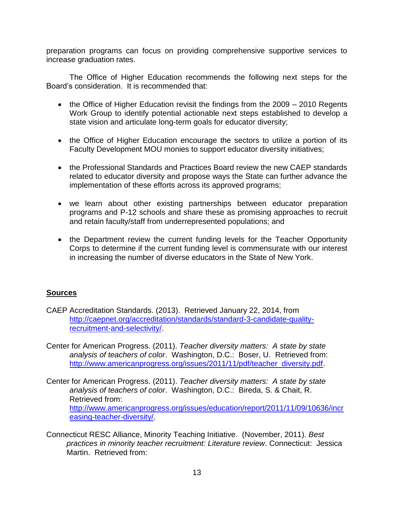preparation programs can focus on providing comprehensive supportive services to increase graduation rates.

The Office of Higher Education recommends the following next steps for the Board's consideration. It is recommended that:

- the Office of Higher Education revisit the findings from the 2009 2010 Regents Work Group to identify potential actionable next steps established to develop a state vision and articulate long-term goals for educator diversity;
- the Office of Higher Education encourage the sectors to utilize a portion of its Faculty Development MOU monies to support educator diversity initiatives;
- the Professional Standards and Practices Board review the new CAEP standards related to educator diversity and propose ways the State can further advance the implementation of these efforts across its approved programs;
- we learn about other existing partnerships between educator preparation programs and P-12 schools and share these as promising approaches to recruit and retain faculty/staff from underrepresented populations; and
- the Department review the current funding levels for the Teacher Opportunity Corps to determine if the current funding level is commensurate with our interest in increasing the number of diverse educators in the State of New York.

# **Sources**

- CAEP Accreditation Standards. (2013). Retrieved January 22, 2014, from [http://caepnet.org/accreditation/standards/standard-3-candidate-quality](http://caepnet.org/accreditation/standards/standard-3-candidate-quality-recruitment-and-selectivity/)[recruitment-and-selectivity/.](http://caepnet.org/accreditation/standards/standard-3-candidate-quality-recruitment-and-selectivity/)
- Center for American Progress. (2011). *Teacher diversity matters: A state by state analysis of teachers of color*. Washington, D.C.: Boser, U. Retrieved from: [http://www.americanprogress.org/issues/2011/11/pdf/teacher\\_diversity.pdf.](http://www.americanprogress.org/issues/2011/11/pdf/teacher_diversity.pdf)
- Center for American Progress. (2011). *Teacher diversity matters: A state by state analysis of teachers of color*. Washington, D.C.: Bireda, S. & Chait, R. Retrieved from: [http://www.americanprogress.org/issues/education/report/2011/11/09/10636/incr](http://www.americanprogress.org/issues/education/report/2011/11/09/10636/increasing-teacher-diversity/) [easing-teacher-diversity/.](http://www.americanprogress.org/issues/education/report/2011/11/09/10636/increasing-teacher-diversity/)
- Connecticut RESC Alliance, Minority Teaching Initiative. (November, 2011). *Best practices in minority teacher recruitment: Literature review*. Connecticut: Jessica Martin. Retrieved from: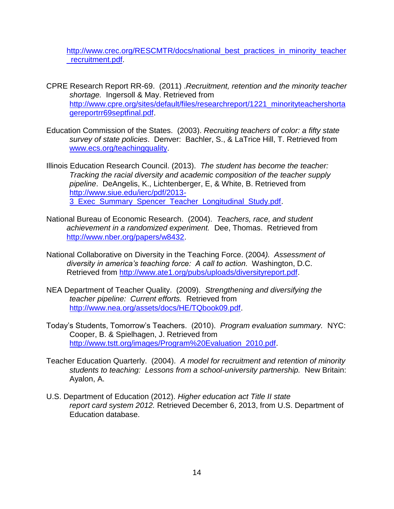[http://www.crec.org/RESCMTR/docs/national\\_best\\_practices\\_in\\_minority\\_teacher](http://www.crec.org/RESCMTR/docs/national_best_practices_in_minority_teacher_recruitment.pdf) [\\_recruitment.pdf.](http://www.crec.org/RESCMTR/docs/national_best_practices_in_minority_teacher_recruitment.pdf)

- CPRE Research Report RR-69. (2011) .*Recruitment, retention and the minority teacher shortage.* Ingersoll & May. Retrieved from [http://www.cpre.org/sites/default/files/researchreport/1221\\_minorityteachershorta](http://www.cpre.org/sites/default/files/researchreport/1221_minorityteachershortagereportrr69septfinal.pdf) [gereportrr69septfinal.pdf.](http://www.cpre.org/sites/default/files/researchreport/1221_minorityteachershortagereportrr69septfinal.pdf)
- Education Commission of the States. (2003). *Recruiting teachers of color: a fifty state survey of state policies*. Denver: Bachler, S., & LaTrice Hill, T. Retrieved from [www.ecs.org/teachingquality.](http://www.ecs.org/teachingquality)
- Illinois Education Research Council. (2013). *The student has become the teacher: Tracking the racial diversity and academic composition of the teacher supply pipeline*. DeAngelis, K., Lichtenberger, E, & White, B. Retrieved from [http://www.siue.edu/ierc/pdf/2013-](http://www.siue.edu/ierc/pdf/2013-3_Exec_Summary_Spencer_Teacher_Longitudinal_Study.pdf) 3 Exec\_Summary\_Spencer\_Teacher\_Longitudinal\_Study.pdf.
- National Bureau of Economic Research. (2004). *Teachers, race, and student achievement in a randomized experiment.* Dee, Thomas. Retrieved from [http://www.nber.org/papers/w8432.](http://www.nber.org/papers/w8432)
- National Collaborative on Diversity in the Teaching Force. (2004*). Assessment of diversity in america's teaching force: A call to action.* Washington, D.C. Retrieved from [http://www.ate1.org/pubs/uploads/diversityreport.pdf.](http://www.ate1.org/pubs/uploads/diversityreport.pdf)
- NEA Department of Teacher Quality. (2009). *Strengthening and diversifying the teacher pipeline: Current efforts.* Retrieved from [http://www.nea.org/assets/docs/HE/TQbook09.pdf.](http://www.nea.org/assets/docs/HE/TQbook09.pdf)
- Today's Students, Tomorrow's Teachers. (2010). *Program evaluation summary.* NYC: Cooper, B. & Spielhagen, J. Retrieved from [http://www.tstt.org/images/Program%20Evaluation\\_2010.pdf.](http://www.tstt.org/images/Program%20Evaluation_2010.pdf)
- Teacher Education Quarterly. (2004). *A model for recruitment and retention of minority students to teaching: Lessons from a school-university partnership.* New Britain: Ayalon, A.
- U.S. Department of Education (2012). *Higher education act Title II state report card system 2012.* Retrieved December 6, 2013, from U.S. Department of Education database.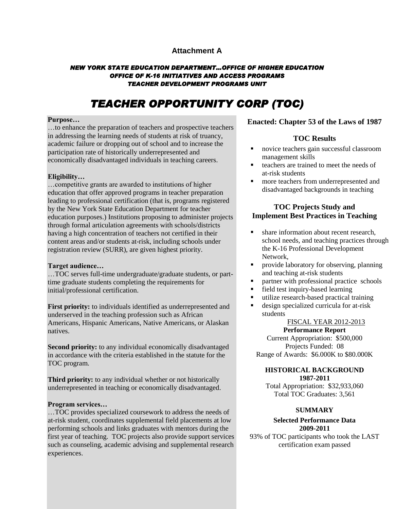## **Attachment A**

### *NEW YORK STATE EDUCATION DEPARTMENT…OFFICE OF HIGHER EDUCATION OFFICE OF K-16 INITIATIVES AND ACCESS PROGRAMS TEACHER DEVELOPMENT PROGRAMS UNIT*

# *TEACHER OPPORTUNITY CORP (TOC)*

#### **Purpose…**

…to enhance the preparation of teachers and prospective teachers in addressing the learning needs of students at risk of truancy, academic failure or dropping out of school and to increase the participation rate of historically underrepresented and economically disadvantaged individuals in teaching careers.

#### **Eligibility…**

…competitive grants are awarded to institutions of higher education that offer approved programs in teacher preparation leading to professional certification (that is, programs registered by the New York State Education Department for teacher education purposes.) Institutions proposing to administer projects through formal articulation agreements with schools/districts having a high concentration of teachers not certified in their content areas and/or students at-risk, including schools under registration review (SURR), are given highest priority.

#### **Target audience…**

…TOC serves full-time undergraduate/graduate students, or parttime graduate students completing the requirements for initial/professional certification.

**First priority:** to individuals identified as underrepresented and underserved in the teaching profession such as African Americans, Hispanic Americans, Native Americans, or Alaskan natives.

**Second priority:** to any individual economically disadvantaged in accordance with the criteria established in the statute for the TOC program.

**Third priority:** to any individual whether or not historically underrepresented in teaching or economically disadvantaged.

#### **Program services…**

…TOC provides specialized coursework to address the needs of at-risk student, coordinates supplemental field placements at low performing schools and links graduates with mentors during the first year of teaching. TOC projects also provide support services such as counseling, academic advising and supplemental research experiences.

### **Enacted: Chapter 53 of the Laws of 1987**

## **TOC Results**

- novice teachers gain successful classroom management skills
- $\blacksquare$  teachers are trained to meet the needs of at-risk students
- **more teachers from underrepresented and** disadvantaged backgrounds in teaching

## **TOC Projects Study and Implement Best Practices in Teaching**

- share information about recent research, school needs, and teaching practices through the K-16 Professional Development Network,
- **Provide laboratory for observing, planning** and teaching at-risk students
- partner with professional practice schools
- **field test inquiry-based learning**
- utilize research-based practical training
- design specialized curricula for at-risk students

#### FISCAL YEAR 2012-2013

### **Performance Report**

Current Appropriation: \$500,000 Projects Funded: 08 Range of Awards: \$6.000K to \$80.000K

#### **HISTORICAL BACKGROUND 1987-2011**

Total Appropriation: \$32,933,060 Total TOC Graduates: 3,561

#### **SUMMARY**

#### **Selected Performance Data 2009-2011**

93% of TOC participants who took the LAST certification exam passed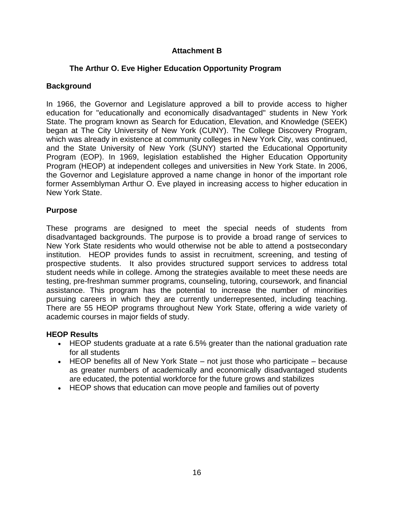# **Attachment B**

# **The Arthur O. Eve Higher Education Opportunity Program**

# **Background**

In 1966, the Governor and Legislature approved a bill to provide access to higher education for "educationally and economically disadvantaged" students in New York State. The program known as Search for Education, Elevation, and Knowledge (SEEK) began at The City University of New York (CUNY). The College Discovery Program, which was already in existence at community colleges in New York City, was continued, and the State University of New York (SUNY) started the Educational Opportunity Program (EOP). In 1969, legislation established the Higher Education Opportunity Program (HEOP) at independent colleges and universities in New York State. In 2006, the Governor and Legislature approved a name change in honor of the important role former Assemblyman Arthur O. Eve played in increasing access to higher education in New York State.

# **Purpose**

These programs are designed to meet the special needs of students from disadvantaged backgrounds. The purpose is to provide a broad range of services to New York State residents who would otherwise not be able to attend a postsecondary institution. HEOP provides funds to assist in recruitment, screening, and testing of prospective students. It also provides structured support services to address total student needs while in college. Among the strategies available to meet these needs are testing, pre-freshman summer programs, counseling, tutoring, coursework, and financial assistance. This program has the potential to increase the number of minorities pursuing careers in which they are currently underrepresented, including teaching. There are 55 HEOP programs throughout New York State, offering a wide variety of academic courses in major fields of study.

# **HEOP Results**

- HEOP students graduate at a rate 6.5% greater than the national graduation rate for all students
- HEOP benefits all of New York State not just those who participate because as greater numbers of academically and economically disadvantaged students are educated, the potential workforce for the future grows and stabilizes
- HEOP shows that education can move people and families out of poverty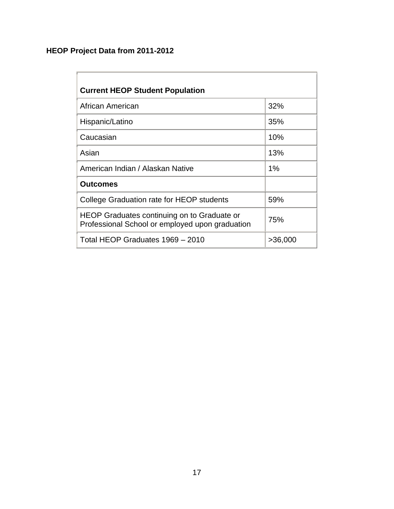# **HEOP Project Data from 2011-2012**

| <b>Current HEOP Student Population</b>                                                         |         |  |  |
|------------------------------------------------------------------------------------------------|---------|--|--|
| African American                                                                               | 32%     |  |  |
| Hispanic/Latino                                                                                | 35%     |  |  |
| Caucasian                                                                                      | 10%     |  |  |
| Asian                                                                                          | 13%     |  |  |
| American Indian / Alaskan Native                                                               | 1%      |  |  |
| <b>Outcomes</b>                                                                                |         |  |  |
| College Graduation rate for HEOP students                                                      | 59%     |  |  |
| HEOP Graduates continuing on to Graduate or<br>Professional School or employed upon graduation | 75%     |  |  |
| Total HEOP Graduates 1969 - 2010                                                               | >36,000 |  |  |